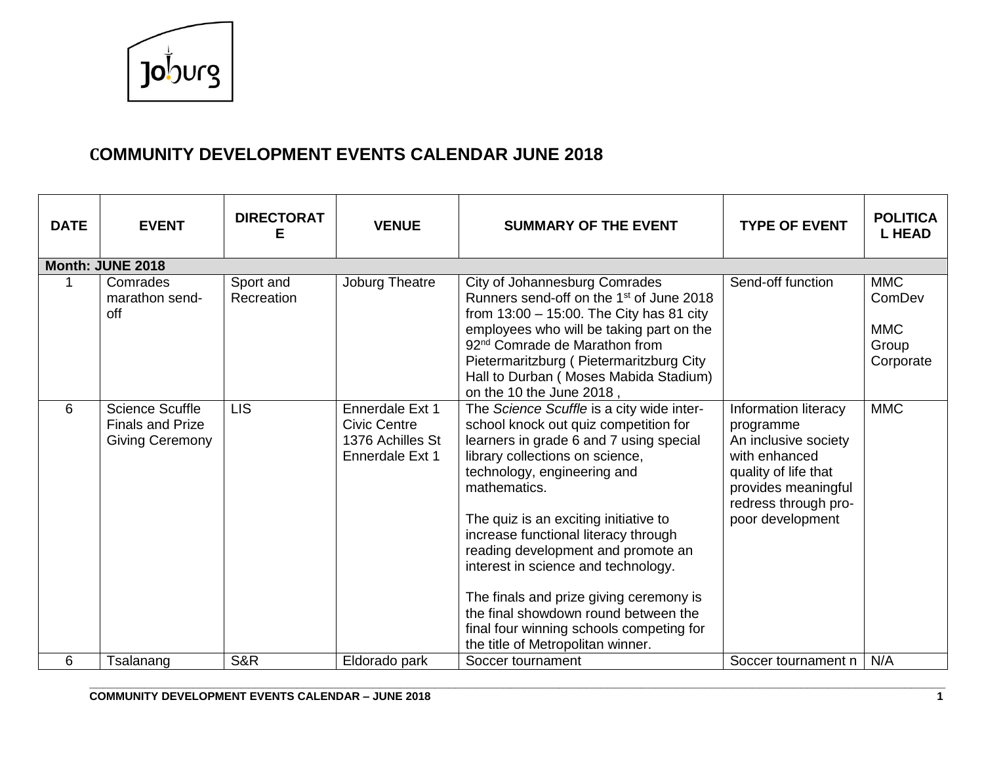

| <b>DATE</b> | <b>EVENT</b>                                                                | <b>DIRECTORAT</b><br>Е  | <b>VENUE</b>                                                                  | <b>SUMMARY OF THE EVENT</b>                                                                                                                                                                                                                                                                                                                                                                                                                                                                                                                       | <b>TYPE OF EVENT</b>                                                                                                                                                  | <b>POLITICA</b><br><b>L HEAD</b>                         |
|-------------|-----------------------------------------------------------------------------|-------------------------|-------------------------------------------------------------------------------|---------------------------------------------------------------------------------------------------------------------------------------------------------------------------------------------------------------------------------------------------------------------------------------------------------------------------------------------------------------------------------------------------------------------------------------------------------------------------------------------------------------------------------------------------|-----------------------------------------------------------------------------------------------------------------------------------------------------------------------|----------------------------------------------------------|
|             | Month: JUNE 2018                                                            |                         |                                                                               |                                                                                                                                                                                                                                                                                                                                                                                                                                                                                                                                                   |                                                                                                                                                                       |                                                          |
|             | Comrades<br>marathon send-<br>off                                           | Sport and<br>Recreation | Joburg Theatre                                                                | City of Johannesburg Comrades<br>Runners send-off on the 1 <sup>st</sup> of June 2018<br>from $13:00 - 15:00$ . The City has 81 city<br>employees who will be taking part on the<br>92 <sup>nd</sup> Comrade de Marathon from<br>Pietermaritzburg (Pietermaritzburg City<br>Hall to Durban (Moses Mabida Stadium)<br>on the 10 the June 2018,                                                                                                                                                                                                     | Send-off function                                                                                                                                                     | <b>MMC</b><br>ComDev<br><b>MMC</b><br>Group<br>Corporate |
| 6           | <b>Science Scuffle</b><br><b>Finals and Prize</b><br><b>Giving Ceremony</b> | <b>LIS</b>              | Ennerdale Ext 1<br><b>Civic Centre</b><br>1376 Achilles St<br>Ennerdale Ext 1 | The Science Scuffle is a city wide inter-<br>school knock out quiz competition for<br>learners in grade 6 and 7 using special<br>library collections on science,<br>technology, engineering and<br>mathematics.<br>The quiz is an exciting initiative to<br>increase functional literacy through<br>reading development and promote an<br>interest in science and technology.<br>The finals and prize giving ceremony is<br>the final showdown round between the<br>final four winning schools competing for<br>the title of Metropolitan winner. | Information literacy<br>programme<br>An inclusive society<br>with enhanced<br>quality of life that<br>provides meaningful<br>redress through pro-<br>poor development | <b>MMC</b>                                               |
| 6           | Tsalanang                                                                   | S&R                     | Eldorado park                                                                 | Soccer tournament                                                                                                                                                                                                                                                                                                                                                                                                                                                                                                                                 | Soccer tournament n                                                                                                                                                   | N/A                                                      |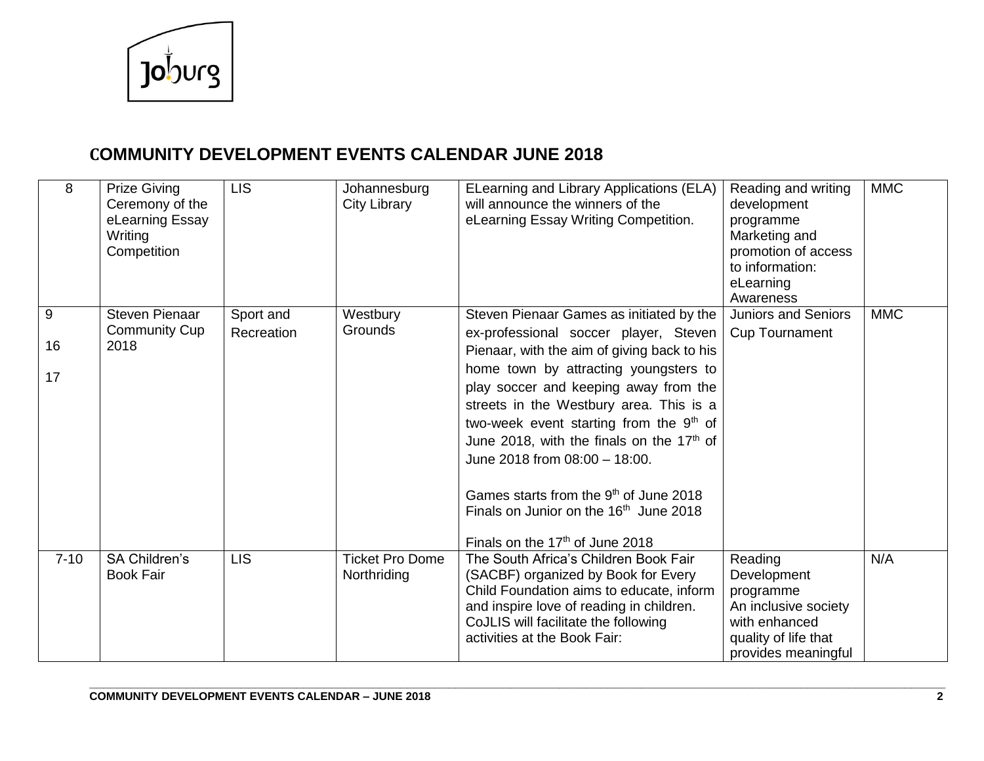

| 8             | <b>Prize Giving</b><br>Ceremony of the<br>eLearning Essay<br>Writing<br>Competition | <b>LIS</b>              | Johannesburg<br><b>City Library</b>   | ELearning and Library Applications (ELA)<br>will announce the winners of the<br>eLearning Essay Writing Competition.                                                                                                                                                                                                                                                                                                                                                                                                                                          | Reading and writing<br>development<br>programme<br>Marketing and<br>promotion of access<br>to information:<br>eLearning<br>Awareness | <b>MMC</b> |
|---------------|-------------------------------------------------------------------------------------|-------------------------|---------------------------------------|---------------------------------------------------------------------------------------------------------------------------------------------------------------------------------------------------------------------------------------------------------------------------------------------------------------------------------------------------------------------------------------------------------------------------------------------------------------------------------------------------------------------------------------------------------------|--------------------------------------------------------------------------------------------------------------------------------------|------------|
| 9<br>16<br>17 | <b>Steven Pienaar</b><br><b>Community Cup</b><br>2018                               | Sport and<br>Recreation | Westbury<br>Grounds                   | Steven Pienaar Games as initiated by the<br>ex-professional soccer player, Steven<br>Pienaar, with the aim of giving back to his<br>home town by attracting youngsters to<br>play soccer and keeping away from the<br>streets in the Westbury area. This is a<br>two-week event starting from the 9th of<br>June 2018, with the finals on the 17 <sup>th</sup> of<br>June 2018 from 08:00 - 18:00.<br>Games starts from the 9 <sup>th</sup> of June 2018<br>Finals on Junior on the 16 <sup>th</sup> June 2018<br>Finals on the 17 <sup>th</sup> of June 2018 | <b>Juniors and Seniors</b><br><b>Cup Tournament</b>                                                                                  | <b>MMC</b> |
| $7 - 10$      | <b>SA Children's</b><br><b>Book Fair</b>                                            | <b>LIS</b>              | <b>Ticket Pro Dome</b><br>Northriding | The South Africa's Children Book Fair<br>(SACBF) organized by Book for Every<br>Child Foundation aims to educate, inform<br>and inspire love of reading in children.<br>CoJLIS will facilitate the following<br>activities at the Book Fair:                                                                                                                                                                                                                                                                                                                  | Reading<br>Development<br>programme<br>An inclusive society<br>with enhanced<br>quality of life that<br>provides meaningful          | N/A        |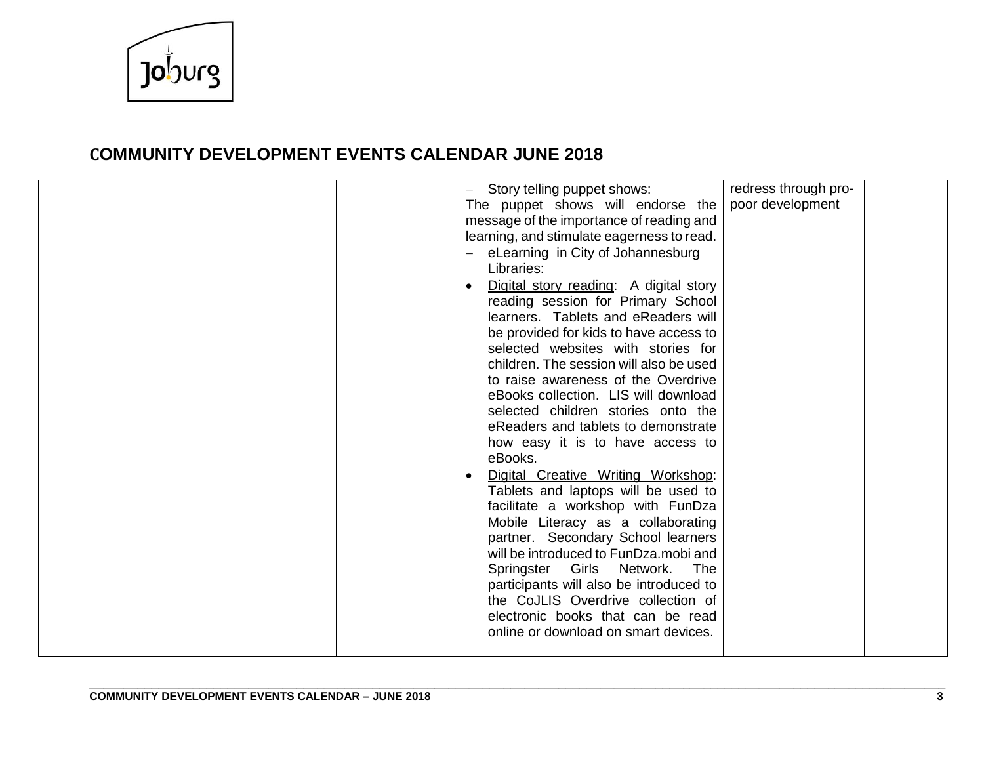

|  | Story telling puppet shows:                | redress through pro- |  |
|--|--------------------------------------------|----------------------|--|
|  | The puppet shows will endorse the          | poor development     |  |
|  | message of the importance of reading and   |                      |  |
|  | learning, and stimulate eagerness to read. |                      |  |
|  | eLearning in City of Johannesburg          |                      |  |
|  | Libraries:                                 |                      |  |
|  | Digital story reading: A digital story     |                      |  |
|  | reading session for Primary School         |                      |  |
|  |                                            |                      |  |
|  | learners. Tablets and eReaders will        |                      |  |
|  | be provided for kids to have access to     |                      |  |
|  | selected websites with stories for         |                      |  |
|  | children. The session will also be used    |                      |  |
|  | to raise awareness of the Overdrive        |                      |  |
|  | eBooks collection. LIS will download       |                      |  |
|  | selected children stories onto the         |                      |  |
|  | eReaders and tablets to demonstrate        |                      |  |
|  | how easy it is to have access to           |                      |  |
|  | eBooks.                                    |                      |  |
|  | Digital Creative Writing Workshop:         |                      |  |
|  | Tablets and laptops will be used to        |                      |  |
|  | facilitate a workshop with FunDza          |                      |  |
|  | Mobile Literacy as a collaborating         |                      |  |
|  | partner. Secondary School learners         |                      |  |
|  | will be introduced to FunDza.mobi and      |                      |  |
|  | Springster Girls<br>Network.<br>The        |                      |  |
|  |                                            |                      |  |
|  | participants will also be introduced to    |                      |  |
|  | the CoJLIS Overdrive collection of         |                      |  |
|  | electronic books that can be read          |                      |  |
|  | online or download on smart devices.       |                      |  |
|  |                                            |                      |  |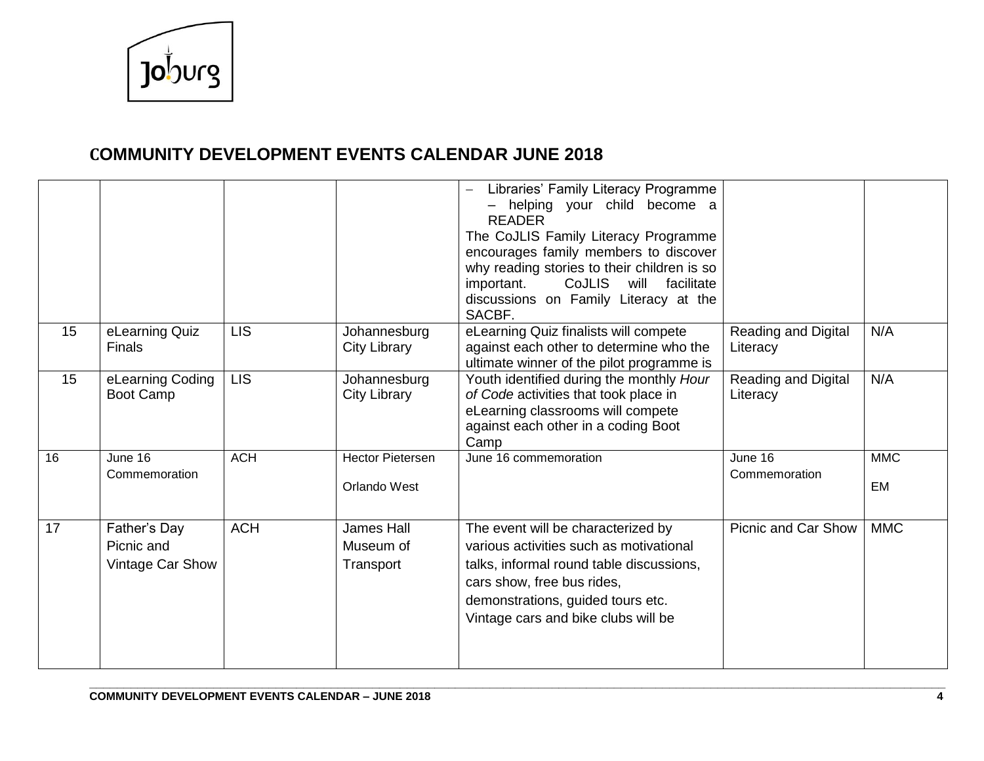

|    |                                                |            |                                             | Libraries' Family Literacy Programme<br>- helping your child become a<br><b>READER</b><br>The CoJLIS Family Literacy Programme<br>encourages family members to discover<br>why reading stories to their children is so<br><b>CoJLIS</b><br>will<br>important.<br>facilitate<br>discussions on Family Literacy at the<br>SACBF. |                                 |                  |
|----|------------------------------------------------|------------|---------------------------------------------|--------------------------------------------------------------------------------------------------------------------------------------------------------------------------------------------------------------------------------------------------------------------------------------------------------------------------------|---------------------------------|------------------|
| 15 | eLearning Quiz<br><b>Finals</b>                | <b>LIS</b> | Johannesburg<br><b>City Library</b>         | eLearning Quiz finalists will compete<br>against each other to determine who the<br>ultimate winner of the pilot programme is                                                                                                                                                                                                  | Reading and Digital<br>Literacy | N/A              |
| 15 | eLearning Coding<br>Boot Camp                  | <b>LIS</b> | Johannesburg<br><b>City Library</b>         | Youth identified during the monthly Hour<br>of Code activities that took place in<br>eLearning classrooms will compete<br>against each other in a coding Boot<br>Camp                                                                                                                                                          | Reading and Digital<br>Literacy | N/A              |
| 16 | June 16<br>Commemoration                       | <b>ACH</b> | <b>Hector Pietersen</b><br>Orlando West     | June 16 commemoration                                                                                                                                                                                                                                                                                                          | June 16<br>Commemoration        | <b>MMC</b><br>EM |
| 17 | Father's Day<br>Picnic and<br>Vintage Car Show | <b>ACH</b> | <b>James Hall</b><br>Museum of<br>Transport | The event will be characterized by<br>various activities such as motivational<br>talks, informal round table discussions,<br>cars show, free bus rides,<br>demonstrations, guided tours etc.<br>Vintage cars and bike clubs will be                                                                                            | <b>Picnic and Car Show</b>      | <b>MMC</b>       |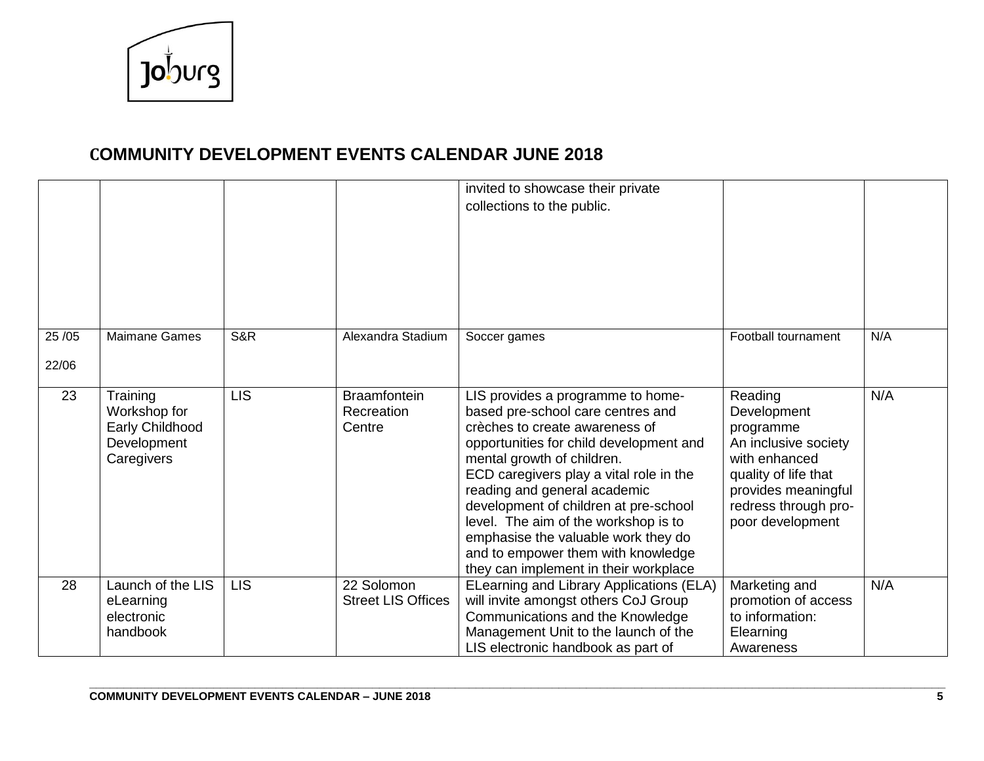

|       |                                                                          |            |                                             | invited to showcase their private<br>collections to the public.                                                                                                                                                                                                                                                                                                                                                                                                     |                                                                                                                                                                         |     |
|-------|--------------------------------------------------------------------------|------------|---------------------------------------------|---------------------------------------------------------------------------------------------------------------------------------------------------------------------------------------------------------------------------------------------------------------------------------------------------------------------------------------------------------------------------------------------------------------------------------------------------------------------|-------------------------------------------------------------------------------------------------------------------------------------------------------------------------|-----|
| 25/05 | <b>Maimane Games</b>                                                     | S&R        | Alexandra Stadium                           | Soccer games                                                                                                                                                                                                                                                                                                                                                                                                                                                        | Football tournament                                                                                                                                                     | N/A |
| 22/06 |                                                                          |            |                                             |                                                                                                                                                                                                                                                                                                                                                                                                                                                                     |                                                                                                                                                                         |     |
| 23    | Training<br>Workshop for<br>Early Childhood<br>Development<br>Caregivers | <b>LIS</b> | <b>Braamfontein</b><br>Recreation<br>Centre | LIS provides a programme to home-<br>based pre-school care centres and<br>crèches to create awareness of<br>opportunities for child development and<br>mental growth of children.<br>ECD caregivers play a vital role in the<br>reading and general academic<br>development of children at pre-school<br>level. The aim of the workshop is to<br>emphasise the valuable work they do<br>and to empower them with knowledge<br>they can implement in their workplace | Reading<br>Development<br>programme<br>An inclusive society<br>with enhanced<br>quality of life that<br>provides meaningful<br>redress through pro-<br>poor development | N/A |
| 28    | Launch of the LIS<br>eLearning<br>electronic<br>handbook                 | <b>LIS</b> | 22 Solomon<br><b>Street LIS Offices</b>     | ELearning and Library Applications (ELA)<br>will invite amongst others CoJ Group<br>Communications and the Knowledge<br>Management Unit to the launch of the<br>LIS electronic handbook as part of                                                                                                                                                                                                                                                                  | Marketing and<br>promotion of access<br>to information:<br>Elearning<br>Awareness                                                                                       | N/A |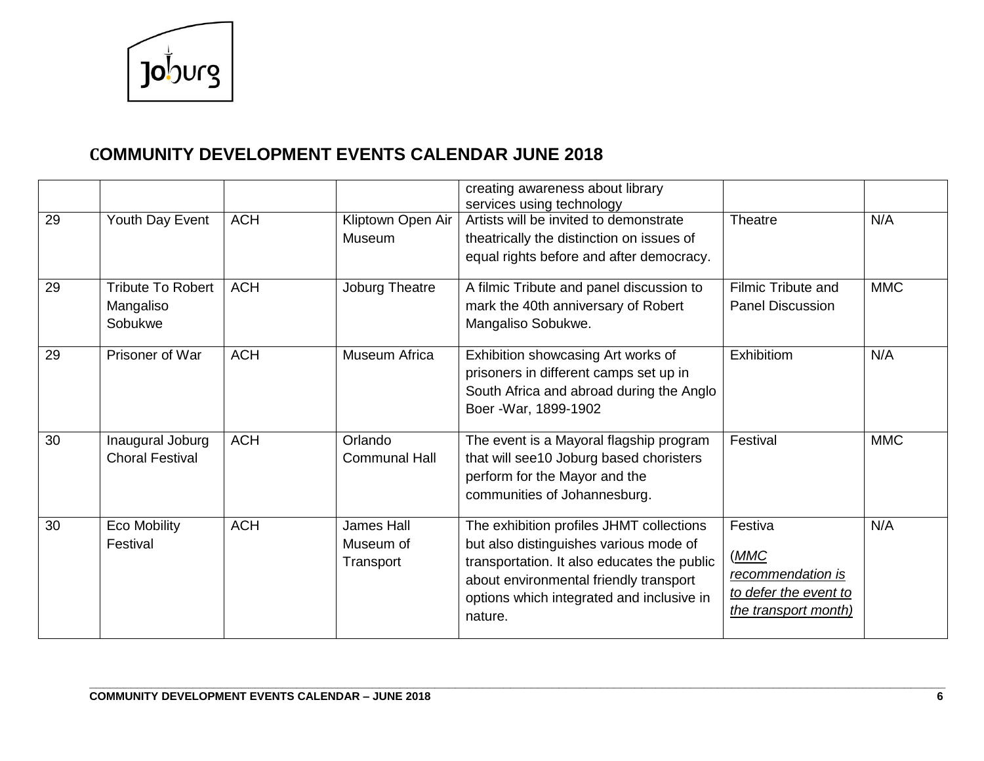

|    |                                                  |            |                                      | creating awareness about library<br>services using technology                                                                                                                                                                       |                                                                                        |            |
|----|--------------------------------------------------|------------|--------------------------------------|-------------------------------------------------------------------------------------------------------------------------------------------------------------------------------------------------------------------------------------|----------------------------------------------------------------------------------------|------------|
| 29 | Youth Day Event                                  | <b>ACH</b> | Kliptown Open Air<br>Museum          | Artists will be invited to demonstrate<br>theatrically the distinction on issues of<br>equal rights before and after democracy.                                                                                                     | <b>Theatre</b>                                                                         | N/A        |
| 29 | <b>Tribute To Robert</b><br>Mangaliso<br>Sobukwe | <b>ACH</b> | Joburg Theatre                       | A filmic Tribute and panel discussion to<br>mark the 40th anniversary of Robert<br>Mangaliso Sobukwe.                                                                                                                               | <b>Filmic Tribute and</b><br><b>Panel Discussion</b>                                   | <b>MMC</b> |
| 29 | Prisoner of War                                  | <b>ACH</b> | Museum Africa                        | Exhibition showcasing Art works of<br>prisoners in different camps set up in<br>South Africa and abroad during the Anglo<br>Boer - War, 1899-1902                                                                                   | Exhibitiom                                                                             | N/A        |
| 30 | Inaugural Joburg<br><b>Choral Festival</b>       | <b>ACH</b> | Orlando<br><b>Communal Hall</b>      | The event is a Mayoral flagship program<br>that will see10 Joburg based choristers<br>perform for the Mayor and the<br>communities of Johannesburg.                                                                                 | Festival                                                                               | <b>MMC</b> |
| 30 | <b>Eco Mobility</b><br>Festival                  | <b>ACH</b> | James Hall<br>Museum of<br>Transport | The exhibition profiles JHMT collections<br>but also distinguishes various mode of<br>transportation. It also educates the public<br>about environmental friendly transport<br>options which integrated and inclusive in<br>nature. | Festiva<br>(MMC)<br>recommendation is<br>to defer the event to<br>the transport month) | N/A        |